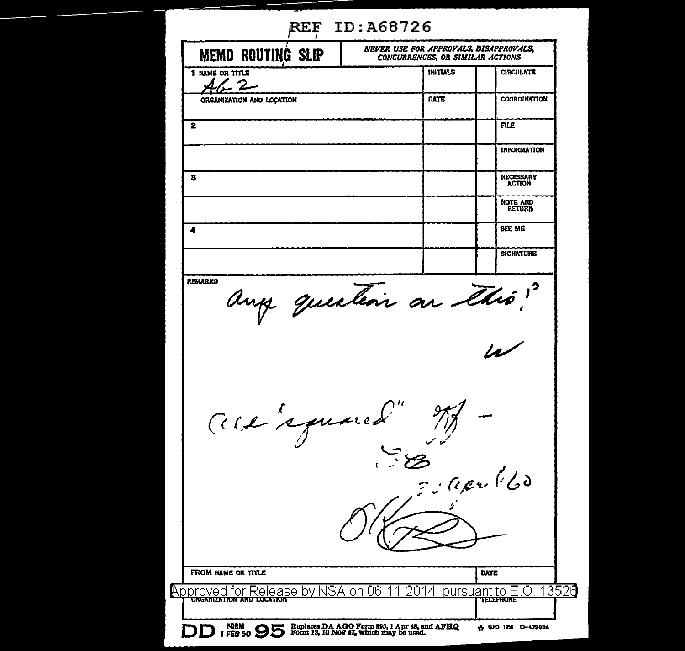| <b>REF ID:A68726</b>                                                                                         |                      |                                   |
|--------------------------------------------------------------------------------------------------------------|----------------------|-----------------------------------|
| NEVER USE FOR APPROVALS, DISAPPROVALS,<br><b>MEMO ROUTING SLIP</b><br><b>CONCURRENCES OR SIMILAR ACTIONS</b> |                      |                                   |
| 1 NAME OR TITLE                                                                                              | <b>INITIALS</b>      | <b>CIRCULATE</b>                  |
| ORGANIZATION AND LOCATION                                                                                    | DATE                 | COORDINATION                      |
| 2                                                                                                            |                      | FILE                              |
|                                                                                                              |                      | <b>INFORMATION</b>                |
| s                                                                                                            |                      | <b>NECESSARY</b><br><b>ACTION</b> |
|                                                                                                              |                      | NOTE AND<br><b>RETURN</b>         |
| 4                                                                                                            |                      | SEE ME                            |
|                                                                                                              |                      | <b>SIGNATURE</b>                  |
|                                                                                                              |                      |                                   |
| ace's guard" M -                                                                                             |                      |                                   |
|                                                                                                              | JEsaprillo           |                                   |
|                                                                                                              |                      |                                   |
|                                                                                                              |                      |                                   |
| FROM NAME OR TITLE                                                                                           |                      | DATE                              |
| Approved<br>for Release by NSA on 06-1<br>URGANIZATIUN AND LUCATION                                          | -2014<br>pursuant to | 3526<br><b>TELEPHONE</b>          |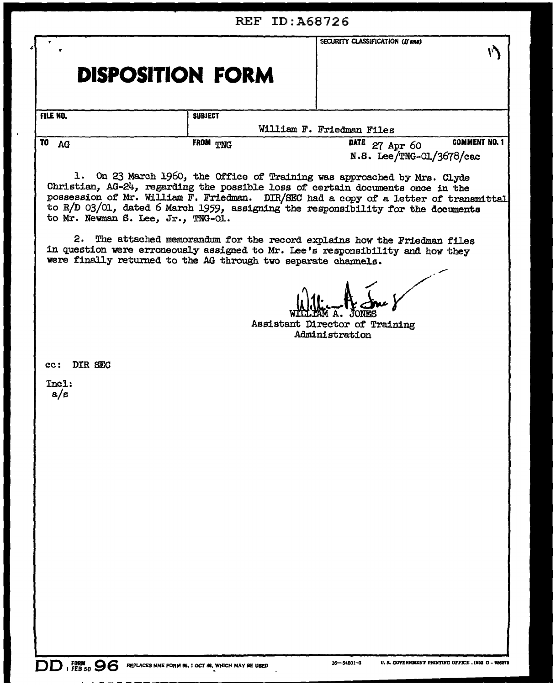| <b>REF ID: A68726</b>                                                                                                                                                                                                                                                                                                                                                        |                |                                                                    |  |  |
|------------------------------------------------------------------------------------------------------------------------------------------------------------------------------------------------------------------------------------------------------------------------------------------------------------------------------------------------------------------------------|----------------|--------------------------------------------------------------------|--|--|
| <b>DISPOSITION FORM</b>                                                                                                                                                                                                                                                                                                                                                      |                | SECURITY CLASSIFICATION (If any)                                   |  |  |
| FILE NO.                                                                                                                                                                                                                                                                                                                                                                     | <b>SUBJECT</b> |                                                                    |  |  |
|                                                                                                                                                                                                                                                                                                                                                                              |                | William F. Friedman Files                                          |  |  |
| TO<br>AG                                                                                                                                                                                                                                                                                                                                                                     | FROM TING      | <b>COMMENT NO. 1</b><br>DATE 27 Apr 60<br>N.S. Lee/TNG-01/3678/cac |  |  |
| 1. On 23 March 1960, the Office of Training was approached by Mrs. Clyde<br>Christian, AG-24, regarding the possible loss of certain documents once in the<br>possession of Mr. William F. Friedman. DIR/SEC had a copy of a letter of transmittal<br>to R/D 03/01, dated 6 March 1959, assigning the responsibility for the documents<br>to Mr. Newman S. Lee, Jr., TNG-01. |                |                                                                    |  |  |
| 2.<br>The attached memorandum for the record explains how the Friedman files<br>in question were erroneously assigned to Mr. Lee's responsibility and how they<br>were finally returned to the AG through two separate channels.                                                                                                                                             |                |                                                                    |  |  |
| Assistant Director of Training<br>Administration                                                                                                                                                                                                                                                                                                                             |                |                                                                    |  |  |
| DIR SEC<br>cc:                                                                                                                                                                                                                                                                                                                                                               |                |                                                                    |  |  |
| $Inc1$ :<br>a/s                                                                                                                                                                                                                                                                                                                                                              |                |                                                                    |  |  |
|                                                                                                                                                                                                                                                                                                                                                                              |                |                                                                    |  |  |
|                                                                                                                                                                                                                                                                                                                                                                              |                |                                                                    |  |  |
|                                                                                                                                                                                                                                                                                                                                                                              |                |                                                                    |  |  |
|                                                                                                                                                                                                                                                                                                                                                                              |                |                                                                    |  |  |
|                                                                                                                                                                                                                                                                                                                                                                              |                |                                                                    |  |  |
|                                                                                                                                                                                                                                                                                                                                                                              |                |                                                                    |  |  |
|                                                                                                                                                                                                                                                                                                                                                                              |                |                                                                    |  |  |
|                                                                                                                                                                                                                                                                                                                                                                              |                |                                                                    |  |  |
|                                                                                                                                                                                                                                                                                                                                                                              |                |                                                                    |  |  |